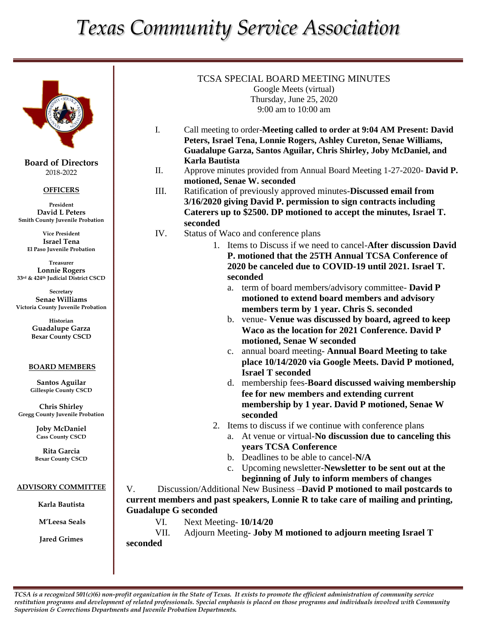# *Texas Community Service Association*



**Board of Directors** 2018-2022

### **OFFICERS**

**President David L Peters Smith County Juvenile Probation**

**Vice President Israel Tena El Paso Juvenile Probation**

**Treasurer Lonnie Rogers 33rd & 424th Judicial District CSCD**

**Secretary Senae Williams Victoria County Juvenile Probation**

> **Historian Guadalupe Garza Bexar County CSCD**

#### **BOARD MEMBERS**

**Santos Aguilar Gillespie County CSCD**

**Chris Shirley Gregg County Juvenile Probation**

> **Joby McDaniel Cass County CSCD**

**Rita Garcia Bexar County CSCD**

#### **ADVISORY COMMITTEE**

**Karla Bautista**

**M'Leesa Seals**

**Jared Grimes**

## TCSA SPECIAL BOARD MEETING MINUTES Google Meets (virtual) Thursday, June 25, 2020 9:00 am to 10:00 am

- I. Call meeting to order-**Meeting called to order at 9:04 AM Present: David Peters, Israel Tena, Lonnie Rogers, Ashley Cureton, Senae Williams, Guadalupe Garza, Santos Aguilar, Chris Shirley, Joby McDaniel, and Karla Bautista**
- II. Approve minutes provided from Annual Board Meeting 1-27-2020- **David P. motioned, Senae W. seconded**
- III. Ratification of previously approved minutes-**Discussed email from 3/16/2020 giving David P. permission to sign contracts including Caterers up to \$2500. DP motioned to accept the minutes, Israel T. seconded**
- IV. Status of Waco and conference plans
	- 1. Items to Discuss if we need to cancel-**After discussion David P. motioned that the 25TH Annual TCSA Conference of 2020 be canceled due to COVID-19 until 2021. Israel T. seconded**

- a. term of board members/advisory committee- **David P motioned to extend board members and advisory members term by 1 year. Chris S. seconded**
- b. venue- **Venue was discussed by board, agreed to keep Waco as the location for 2021 Conference. David P motioned, Senae W seconded**
- c. annual board meeting- **Annual Board Meeting to take place 10/14/2020 via Google Meets. David P motioned, Israel T seconded**
- d. membership fees-**Board discussed waiving membership fee for new members and extending current membership by 1 year. David P motioned, Senae W seconded**
- 2. Items to discuss if we continue with conference plans
	- a. At venue or virtual-**No discussion due to canceling this years TCSA Conference**
	- b. Deadlines to be able to cancel-**N/A**
	- c. Upcoming newsletter-**Newsletter to be sent out at the beginning of July to inform members of changes**

V. Discussion/Additional New Business –**David P motioned to mail postcards to current members and past speakers, Lonnie R to take care of mailing and printing, Guadalupe G seconded**

VI. Next Meeting- **10/14/20**

VII. Adjourn Meeting- **Joby M motioned to adjourn meeting Israel T seconded**

*TCSA is a recognized 501(c)(6) non-profit organization in the State of Texas. It exists to promote the efficient administration of community service restitution programs and development of related professionals. Special emphasis is placed on those programs and individuals involved with Community Supervision & Corrections Departments and Juvenile Probation Departments.*